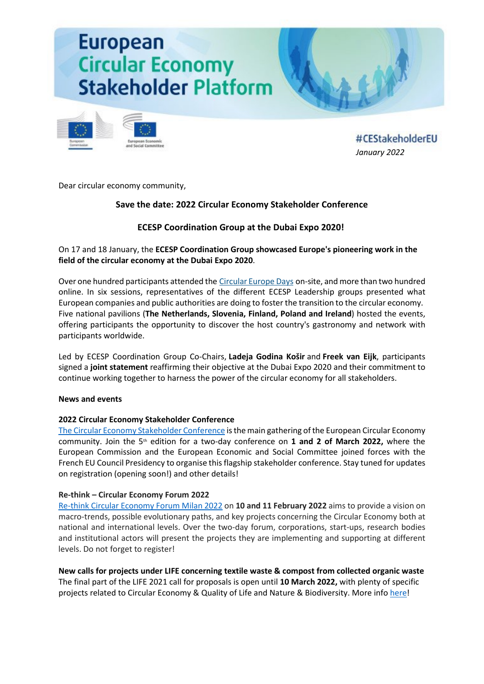# **European Circular Economy Stakeholder Platform**



#CEStakeholderEU *[January 2022](https://circulareconomy.europa.eu/platform/en/about-platform)*

Dear circular economy community,

# **Save the date: 2022 Circular Economy Stakeholder Conference**

# **ECESP Coordination Group at the Dubai Expo 2020!**

On 17 and 18 January, the **ECESP Coordination Group showcased Europe's pioneering work in the field of the circular economy at the Dubai Expo 2020**.

Over one hundred participants attended the [Circular Europe Days](https://circulareconomy.europa.eu/platform/en/ecesp-goes-global-showcasing-europes-excellence-circular-economy/) on-site, and more than two hundred online. In six sessions, representatives of the different ECESP Leadership groups presented what European companies and public authorities are doing to foster the transition to the circular economy. Five national pavilions (**The Netherlands, Slovenia, Finland, Poland and Ireland**) hosted the events, offering participants the opportunity to discover the host country's gastronomy and network with participants worldwide.

Led by ECESP Coordination Group Co-Chairs, **Ladeja Godina Košir** and **Freek van Eijk**, participants signed a **joint statement** reaffirming their objective at the Dubai Expo 2020 and their commitment to continue working together to harness the power of the circular economy for all stakeholders.

# **News and events**

# **2022 Circular Economy Stakeholder Conference**

[The Circular Economy Stakeholder Conference](https://circulareconomy.europa.eu/platform/en/news-and-events/all-news/save-date-2022-circular-economy-stakeholder-conference) is the main gathering of the European Circular Economy community. Join the 5<sup>th</sup> edition for a two-day conference on 1 and 2 of March 2022, where the European Commission and the European Economic and Social Committee joined forces with the French EU Council Presidency to organise this flagship stakeholder conference. Stay tuned for updates on registration (opening soon!) and other details!

# **Re-think – Circular Economy Forum 2022**

Re-[think Circular Economy Forum Milan 2022](https://circulareconomy.europa.eu/platform/en/news-and-events/all-events/re-think-circular-economy-forum-2022) on **10 and 11 February 2022** aims to provide a vision on macro-trends, possible evolutionary paths, and key projects concerning the Circular Economy both at national and international levels. Over the two-day forum, corporations, start-ups, research bodies and institutional actors will present the projects they are implementing and supporting at different levels. Do not forget to register!

**New calls for projects under LIFE concerning textile waste & compost from collected organic waste**  The final part of the LIFE 2021 call for proposals is open until **10 March 2022,** with plenty of specific projects related to Circular Economy & Quality of Life and Nature & Biodiversity. More info [here!](https://cinea.ec.europa.eu/life_en)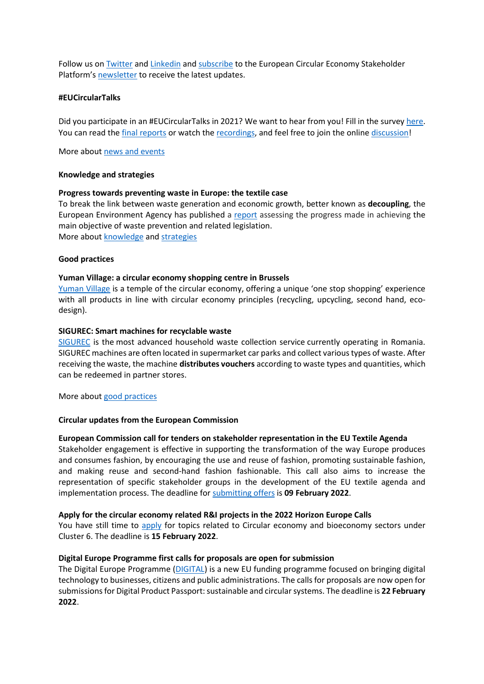Follow us o[n Twitter](https://twitter.com/CEStakeholderEU) and [Linkedin](https://www.linkedin.com/company/ecesp/) and [subscribe](http://cdweb.eesc.europa.eu/eesceuropaeu-ae77k/pages/piih728reeibewbqvqbd6g.html) to the European Circular Economy Stakeholder Platform'[s newsletter](https://circulareconomy.europa.eu/platform/en/ecesp-newsletter) to receive the latest updates.

#### **#EUCircularTalks**

Did you participate in an #EUCircularTalks in 2021? We want to hear from you! Fill in the survey [here.](https://ec.europa.eu/eusurvey/runner/evaluation-eucirculartalks) You can read the [final reports](https://circulareconomy.europa.eu/platform/en/eu-circular-talks) or watch the [recordings](https://www.youtube.com/channel/UC7c7LwM1A4FZ8XauZEqQRlA), and feel free to join the online [discussion!](https://www.linkedin.com/search/results/groups/?keywords=%23eucirculartalks&origin=SWITCH_SEARCH_VERTICAL)

More about [news and events](https://circulareconomy.europa.eu/platform/en/news-and-events)

#### **Knowledge and strategies**

#### **Progress towards preventing waste in Europe: the textile case**

To break the link between waste generation and economic growth, better known as **decoupling**, the European Environment Agency has published a [report](https://circulareconomy.europa.eu/platform/en/knowledge/progress-towards-preventing-waste-europe-textile-case) assessing the progress made in achieving the main objective of waste prevention and related legislation. More about [knowledge](https://circulareconomy.europa.eu/platform/en/knowledge) and [strategies](https://circulareconomy.europa.eu/platform/en/strategies)

#### **Good practices**

#### **Yuman Village: a circular economy shopping centre in Brussels**

[Yuman Village](https://circulareconomy.europa.eu/platform/en/good-practices/yuman-village-circular-economy-shopping-centre-brussels) is a temple of the circular economy, offering a unique 'one stop shopping' experience with all products in line with circular economy principles (recycling, upcycling, second hand, ecodesign).

#### **SIGUREC: Smart machines for recyclable waste**

[SIGUREC](https://circulareconomy.europa.eu/platform/en/good-practices/sigurec-smart-machines-recyclable-waste) is the most advanced household waste collection service currently operating in Romania. SIGUREC machines are often located in supermarket car parks and collect various types of waste. After receiving the waste, the machine **distributes vouchers**according to waste types and quantities, which can be redeemed in partner stores.

More about [good practices](https://circulareconomy.europa.eu/platform/en/good-practices)

#### **Circular updates from the European Commission**

# **European Commission call for tenders on stakeholder representation in the EU Textile Agenda**

Stakeholder engagement is effective in supporting the transformation of the way Europe produces and consumes fashion, by encouraging the use and reuse of fashion, promoting sustainable fashion, and making reuse and second-hand fashion fashionable. This call also aims to increase the representation of specific stakeholder groups in the development of the EU textile agenda and implementation process. The deadline fo[r submitting offers](https://circulareconomy.europa.eu/platform/en/news-and-events/all-news/european-commission-call-tenders-stakeholder-representation-eu-textile-agenda) is **09 February 2022**.

#### **Apply for the circular economy related R&I projects in the 2022 Horizon Europe Calls**

You have still time to [apply](https://circulareconomy.europa.eu/platform/en/financing/apply-circular-economy-related-eu-ri-funding-2022-horizon-europe-calls) for topics related to Circular economy and bioeconomy sectors under Cluster 6. The deadline is **15 February 2022**.

# **Digital Europe Programme first calls for proposals are open for submission**

The Digital Europe Programme [\(DIGITAL\)](https://circulareconomy.europa.eu/platform/en/news-and-events/all-news/digital-europe-programme-first-calls-proposals-are-open-submission) is a new EU funding programme focused on bringing digital technology to businesses, citizens and public administrations. The calls for proposals are now open for submissions for Digital Product Passport: sustainable and circular systems. The deadline is **22 February 2022**.